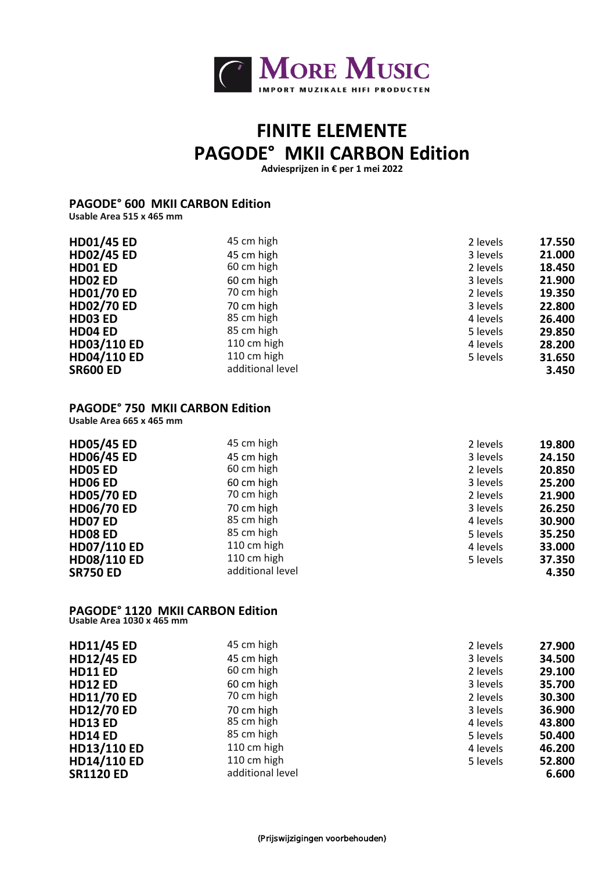

# **FINITE ELEMENTE PAGODE° MKII CARBON Edition**

**Adviesprijzen in € per 1 mei 2022**

#### **PAGODE° 600 MKII CARBON Edition Usable Area 515 x 465 mm**

| <b>HD01/45 ED</b>  | 45 cm high       | 2 levels | 17.550 |
|--------------------|------------------|----------|--------|
| <b>HD02/45 ED</b>  | 45 cm high       | 3 levels | 21.000 |
| HD01 ED            | 60 cm high       | 2 levels | 18.450 |
| HD02 ED            | 60 cm high       | 3 levels | 21.900 |
| <b>HD01/70 ED</b>  | 70 cm high       | 2 levels | 19.350 |
| <b>HD02/70 ED</b>  | 70 cm high       | 3 levels | 22.800 |
| HD03 ED            | 85 cm high       | 4 levels | 26.400 |
| HD04 ED            | 85 cm high       | 5 levels | 29.850 |
| <b>HD03/110 ED</b> | 110 cm high      | 4 levels | 28.200 |
| <b>HD04/110 ED</b> | 110 cm high      | 5 levels | 31.650 |
| <b>SR600 ED</b>    | additional level |          | 3.450  |
|                    |                  |          |        |

### **PAGODE° 750 MKII CARBON Edition**

**Usable Area 665 x 465 mm** 

| <b>HD05/45 ED</b>  | 45 cm high       | 2 levels | 19.800 |
|--------------------|------------------|----------|--------|
| <b>HD06/45 ED</b>  | 45 cm high       | 3 levels | 24.150 |
| HD05 ED            | 60 cm high       | 2 levels | 20.850 |
| HD06 ED            | 60 cm high       | 3 levels | 25.200 |
| <b>HD05/70 ED</b>  | 70 cm high       | 2 levels | 21.900 |
| <b>HD06/70 ED</b>  | 70 cm high       | 3 levels | 26.250 |
| HD07 ED            | 85 cm high       | 4 levels | 30.900 |
| HD08 ED            | 85 cm high       | 5 levels | 35.250 |
| <b>HD07/110 ED</b> | 110 cm high      | 4 levels | 33.000 |
| <b>HD08/110 ED</b> | 110 cm high      | 5 levels | 37.350 |
| <b>SR750 ED</b>    | additional level |          | 4.350  |

# **PAGODE° 1120 MKII CARBON Edition Usable Area 1030 x 465 mm**

| <b>HD11/45 ED</b>  | 45 cm high       | 2 levels | 27.900 |
|--------------------|------------------|----------|--------|
| <b>HD12/45 ED</b>  | 45 cm high       | 3 levels | 34.500 |
| <b>HD11 ED</b>     | 60 cm high       | 2 levels | 29.100 |
| <b>HD12 ED</b>     | 60 cm high       | 3 levels | 35.700 |
| <b>HD11/70 ED</b>  | 70 cm high       | 2 levels | 30.300 |
| <b>HD12/70 ED</b>  | 70 cm high       | 3 levels | 36.900 |
| <b>HD13 ED</b>     | 85 cm high       | 4 levels | 43.800 |
| <b>HD14 ED</b>     | 85 cm high       | 5 levels | 50.400 |
| <b>HD13/110 ED</b> | 110 cm high      | 4 levels | 46.200 |
| <b>HD14/110 ED</b> | 110 cm high      | 5 levels | 52.800 |
| <b>SR1120 ED</b>   | additional level |          | 6.600  |